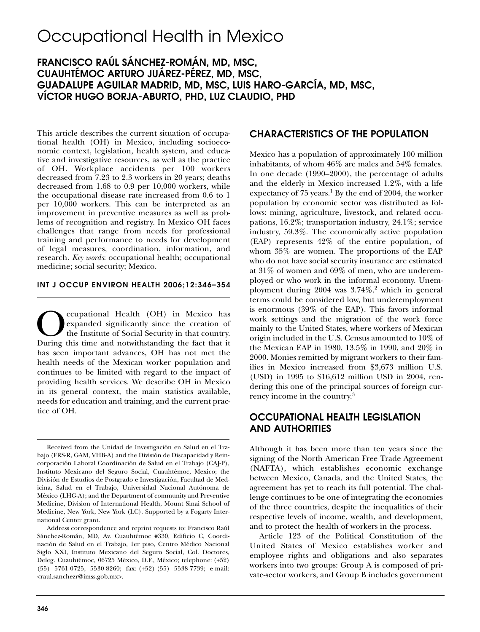# Occupational Health in Mexico

# **FRANCISCO RAÚL SÁNCHEZ-ROMÁN, MD, MSC, CUAUHTÉMOC ARTURO JUÁREZ-PÉREZ, MD, MSC, GUADALUPE AGUILAR MADRID, MD, MSC, LUIS HARO-GARCÍA, MD, MSC, VÍCTOR HUGO BORJA-ABURTO, PHD, LUZ CLAUDIO, PHD**

This article describes the current situation of occupational health (OH) in Mexico, including socioeconomic context, legislation, health system, and educative and investigative resources, as well as the practice of OH. Workplace accidents per 100 workers decreased from 7.23 to 2.3 workers in 20 years; deaths decreased from 1.68 to 0.9 per 10,000 workers, while the occupational disease rate increased from 0.6 to 1 per 10,000 workers. This can be interpreted as an improvement in preventive measures as well as problems of recognition and registry. In Mexico OH faces challenges that range from needs for professional training and performance to needs for development of legal measures, coordination, information, and research. *Key words*: occupational health; occupational medicine; social security; Mexico.

#### **INT J OCCUP ENVIRON HEALTH 2006;12:346–354**

Comparisonal Health (OH) in Mexico has expanded significantly since the creation of the Institute of Social Security in that country.<br>During this time and notwithstanding the fact that it expanded significantly since the creation of the Institute of Social Security in that country. During this time and notwithstanding the fact that it has seen important advances, OH has not met the health needs of the Mexican worker population and continues to be limited with regard to the impact of providing health services. We describe OH in Mexico in its general context, the main statistics available, needs for education and training, and the current practice of OH.

#### **CHARACTERISTICS OF THE POPULATION**

Mexico has a population of approximately 100 million inhabitants, of whom 46% are males and 54% females. In one decade (1990–2000), the percentage of adults and the elderly in Mexico increased 1.2%, with a life expectancy of  $75$  years.<sup>1</sup> By the end of 2004, the worker population by economic sector was distributed as follows: mining, agriculture, livestock, and related occupations, 16.2%; transportation industry, 24.1%; service industry, 59.3%. The economically active population (EAP) represents 42% of the entire population, of whom 35% are women. The proportions of the EAP who do not have social security insurance are estimated at 31% of women and 69% of men, who are underemployed or who work in the informal economy. Unemployment during  $2004$  was  $3.74\%$ ,<sup>2</sup> which in general terms could be considered low, but underemployment is enormous (39% of the EAP). This favors informal work settings and the migration of the work force mainly to the United States, where workers of Mexican origin included in the U.S. Census amounted to 10% of the Mexican EAP in 1980, 13.5% in 1990, and 20% in 2000. Monies remitted by migrant workers to their families in Mexico increased from \$3,673 million U.S. (USD) in 1995 to \$16,612 million USD in 2004, rendering this one of the principal sources of foreign currency income in the country.3

#### **OCCUPATIONAL HEALTH LEGISLATION AND AUTHORITIES**

Although it has been more than ten years since the signing of the North American Free Trade Agreement (NAFTA), which establishes economic exchange between Mexico, Canada, and the United States, the agreement has yet to reach its full potential. The challenge continues to be one of integrating the economies of the three countries, despite the inequalities of their respective levels of income, wealth, and development, and to protect the health of workers in the process.

Article 123 of the Political Constitution of the United States of Mexico establishes worker and employee rights and obligations and also separates workers into two groups: Group A is composed of private-sector workers, and Group B includes government

Received from the Unidad de Investigación en Salud en el Trabajo (FRS-R, GAM, VHB-A) and the División de Discapacidad y Reincorporación Laboral Coordinación de Salud en el Trabajo (CAJ-P), Instituto Mexicano del Seguro Social, Cuauhtémoc, Mexico; the División de Estudios de Postgrado e Investigación, Facultad de Medicina, Salud en el Trabajo, Universidad Nacional Autónoma de México (LHG-A); and the Department of community and Preventive Medicine, Division of International Health, Mount Sinai School of Medicine, New York, New York (LC). Supported by a Fogarty International Center grant.

Address correspondence and reprint requests to: Francisco Raúl Sánchez-Román, MD, Av. Cuauhtémoc #330, Edificio C, Coordinación de Salud en el Trabajo, 1er piso, Centro Médico Nacional Siglo XXI, Instituto Mexicano del Seguro Social, Col. Doctores, Deleg. Cuauhtémoc, 06725 México, D.F., México; telephone: (+52) (55) 5761-0725, 5530-8260; fax: (+52) (55) 5538-7739; e-mail: <raul.sanchezr@imss.gob.mx>.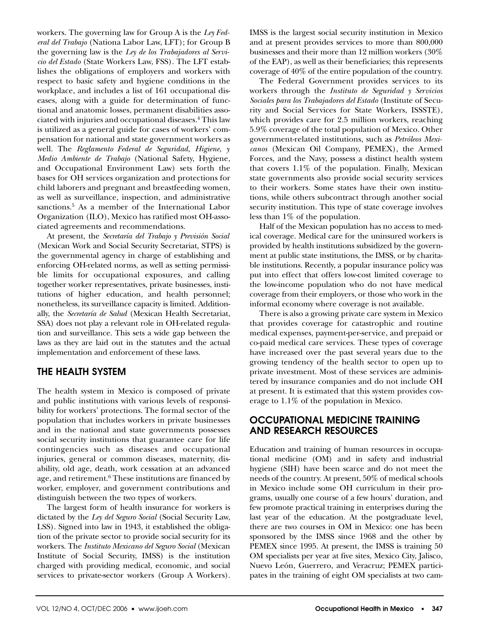workers. The governing law for Group A is the *Ley Federal del Trabajo* (Nationa Labor Law, LFT); for Group B the governing law is the *Ley de los Trabajadores al Servicio del Estado* (State Workers Law, FSS). The LFT establishes the obligations of employers and workers with respect to basic safety and hygiene conditions in the workplace, and includes a list of 161 occupational diseases, along with a guide for determination of functional and anatomic losses, permanent disabilities associated with injuries and occupational diseases.4 This law is utilized as a general guide for cases of workers' compensation for national and state government workers as well. The *Reglamento Federal de Seguridad, Higiene, y Medio Ambiente de Trabajo* (National Safety, Hygiene, and Occupational Environment Law) sets forth the bases for OH services organization and protections for child laborers and pregnant and breastfeeding women, as well as surveillance, inspection, and administrative sanctions.<sup>5</sup> As a member of the International Labor Organization (ILO), Mexico has ratified most OH-associated agreements and recommendations.

At present, the *Secretaría del Trabajo y Previsión Social* (Mexican Work and Social Security Secretariat, STPS) is the governmental agency in charge of establishing and enforcing OH-related norms, as well as setting permissible limits for occupational exposures, and calling together worker representatives, private businesses, institutions of higher education, and health personnel; nonetheless, its surveillance capacity is limited. Additionally, the *Secretaría de Salud* (Mexican Health Secretariat, SSA) does not play a relevant role in OH-related regulation and surveillance. This sets a wide gap between the laws as they are laid out in the statutes and the actual implementation and enforcement of these laws.

## **THE HEALTH SYSTEM**

The health system in Mexico is composed of private and public institutions with various levels of responsibility for workers' protections. The formal sector of the population that includes workers in private businesses and in the national and state governments possesses social security institutions that guarantee care for life contingencies such as diseases and occupational injuries, general or common diseases, maternity, disability, old age, death, work cessation at an advanced age, and retirement.<sup>6</sup> These institutions are financed by worker, employer, and government contributions and distinguish between the two types of workers.

The largest form of health insurance for workers is dictated by the *Ley del Seguro Social* (Social Security Law, LSS). Signed into law in 1943, it established the obligation of the private sector to provide social security for its workers. The *Instituto Mexicano del Seguro Social* (Mexican Institute of Social Security, IMSS) is the institution charged with providing medical, economic, and social services to private-sector workers (Group A Workers).

IMSS is the largest social security institution in Mexico and at present provides services to more than 800,000 businesses and their more than 12 million workers (30% of the EAP), as well as their beneficiaries; this represents coverage of 40% of the entire population of the country.

The Federal Government provides services to its workers through the *Instituto de Seguridad y Servicios Sociales para los Trabajadores del Estado* (Institute of Security and Social Services for State Workers, ISSSTE), which provides care for 2.5 million workers, reaching 5.9% coverage of the total population of Mexico. Other government-related institutions, such as *Petróleos Mexicanos* (Mexican Oil Company, PEMEX), the Armed Forces, and the Navy, possess a distinct health system that covers 1.1% of the population. Finally, Mexican state governments also provide social security services to their workers. Some states have their own institutions, while others subcontract through another social security institution. This type of state coverage involves less than 1% of the population.

Half of the Mexican population has no access to medical coverage. Medical care for the uninsured workers is provided by health institutions subsidized by the government at public state institutions, the IMSS, or by charitable institutions. Recently, a popular insurance policy was put into effect that offers low-cost limited coverage to the low-income population who do not have medical coverage from their employers, or those who work in the informal economy where coverage is not available.

There is also a growing private care system in Mexico that provides coverage for catastrophic and routine medical expenses, payment-per-service, and prepaid or co-paid medical care services. These types of coverage have increased over the past several years due to the growing tendency of the health sector to open up to private investment. Most of these services are administered by insurance companies and do not include OH at present. It is estimated that this system provides coverage to 1.1% of the population in Mexico.

#### **OCCUPATIONAL MEDICINE TRAINING AND RESEARCH RESOURCES**

Education and training of human resources in occupational medicine (OM) and in safety and industrial hygiene (SIH) have been scarce and do not meet the needs of the country. At present, 50% of medical schools in Mexico include some OH curriculum in their programs, usually one course of a few hours' duration, and few promote practical training in enterprises during the last year of the education. At the postgraduate level, there are two courses in OM in Mexico: one has been sponsored by the IMSS since 1968 and the other by PEMEX since 1995. At present, the IMSS is training 50 OM specialists per year at five sites, Mexico City, Jalisco, Nuevo León, Guerrero, and Veracruz; PEMEX participates in the training of eight OM specialists at two cam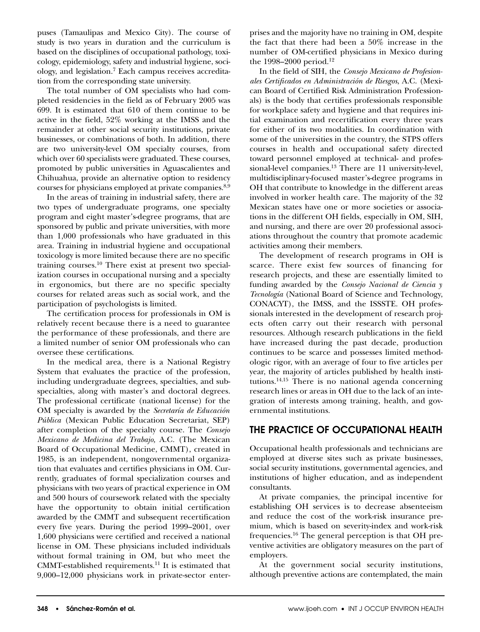puses (Tamaulipas and Mexico City). The course of study is two years in duration and the curriculum is based on the disciplines of occupational pathology, toxicology, epidemiology, safety and industrial hygiene, sociology, and legislation.7 Each campus receives accreditation from the corresponding state university.

The total number of OM specialists who had completed residencies in the field as of February 2005 was 699. It is estimated that 610 of them continue to be active in the field, 52% working at the IMSS and the remainder at other social security institutions, private businesses, or combinations of both. In addition, there are two university-level OM specialty courses, from which over 60 specialists were graduated. These courses, promoted by public universities in Aguascalientes and Chihuahua, provide an alternative option to residency courses for physicians employed at private companies.<sup>8,9</sup>

In the areas of training in industrial safety, there are two types of undergraduate programs, one specialty program and eight master's-degree programs, that are sponsored by public and private universities, with more than 1,000 professionals who have graduated in this area. Training in industrial hygiene and occupational toxicology is more limited because there are no specific training courses.10 There exist at present two specialization courses in occupational nursing and a specialty in ergonomics, but there are no specific specialty courses for related areas such as social work, and the participation of psychologists is limited.

The certification process for professionals in OM is relatively recent because there is a need to guarantee the performance of these professionals, and there are a limited number of senior OM professionals who can oversee these certifications.

In the medical area, there is a National Registry System that evaluates the practice of the profession, including undergraduate degrees, specialties, and subspecialties, along with master's and doctoral degrees. The professional certificate (national license) for the OM specialty is awarded by the *Secretaría de Educación Pública* (Mexican Public Education Secretariat, SEP) after completion of the specialty course. The *Consejo Mexicano de Medicina del Trabajo,* A.C*.* (The Mexican Board of Occupational Medicine, CMMT), created in 1985, is an independent, nongovernmental organization that evaluates and certifies physicians in OM. Currently, graduates of formal specialization courses and physicians with two years of practical experience in OM and 500 hours of coursework related with the specialty have the opportunity to obtain initial certification awarded by the CMMT and subsequent recertification every five years. During the period 1999–2001, over 1,600 physicians were certified and received a national license in OM. These physicians included individuals without formal training in OM, but who meet the CMMT-established requirements.11 It is estimated that 9,000–12,000 physicians work in private-sector enterprises and the majority have no training in OM, despite the fact that there had been a 50% increase in the number of OM-certified physicians in Mexico during the 1998–2000 period.<sup>12</sup>

In the field of SIH, the *Consejo Mexicano de Profesionales Certificados en Administración de Riesgos*, A.C. (Mexican Board of Certified Risk Administration Professionals) is the body that certifies professionals responsible for workplace safety and hygiene and that requires initial examination and recertification every three years for either of its two modalities. In coordination with some of the universities in the country, the STPS offers courses in health and occupational safety directed toward personnel employed at technical- and professional-level companies.<sup>13</sup> There are 11 university-level, multidisciplinary-focused master's-degree programs in OH that contribute to knowledge in the different areas involved in worker health care. The majority of the 32 Mexican states have one or more societies or associations in the different OH fields, especially in OM, SIH, and nursing, and there are over 20 professional associations throughout the country that promote academic activities among their members.

The development of research programs in OH is scarce. There exist few sources of financing for research projects, and these are essentially limited to funding awarded by the *Consejo Nacional de Ciencia y Tecnología* (National Board of Science and Technology, CONACYT), the IMSS, and the ISSSTE. OH professionals interested in the development of research projects often carry out their research with personal resources. Although research publications in the field have increased during the past decade, production continues to be scarce and possesses limited methodologic rigor, with an average of four to five articles per year, the majority of articles published by health institutions.<sup>14,15</sup> There is no national agenda concerning research lines or areas in OH due to the lack of an integration of interests among training, health, and governmental institutions.

## **THE PRACTICE OF OCCUPATIONAL HEALTH**

Occupational health professionals and technicians are employed at diverse sites such as private businesses, social security institutions, governmental agencies, and institutions of higher education, and as independent consultants.

At private companies, the principal incentive for establishing OH services is to decrease absenteeism and reduce the cost of the work-risk insurance premium, which is based on severity-index and work-risk frequencies.16 The general perception is that OH preventive activities are obligatory measures on the part of employers.

At the government social security institutions, although preventive actions are contemplated, the main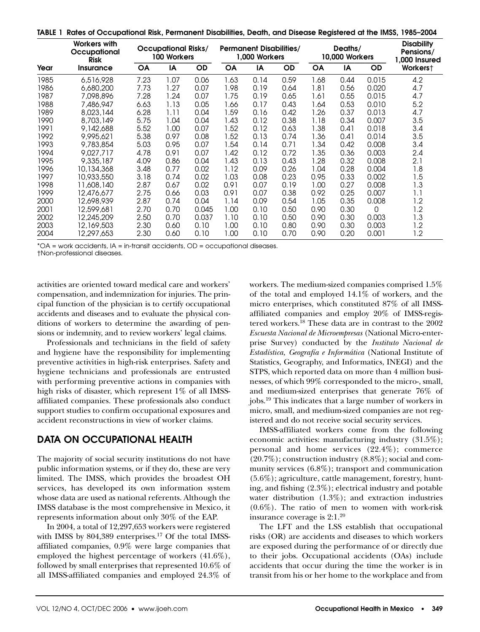**TABLE 1 Rates of Occupational Risk, Permanent Disabilities, Death, and Disease Registered at the IMSS, 1985–2004**

|      | <b>Workers with</b><br>Occupational<br><b>Risk</b> | <b>Occupational Risks/</b><br><b>100 Workers</b> |      |           | <b>Permanent Disabilities/</b><br>1,000 Workers |      |           | Deaths/<br>10,000 Workers |      |           | <b>Disability</b><br>Pensions/<br>1,000 Insured |
|------|----------------------------------------------------|--------------------------------------------------|------|-----------|-------------------------------------------------|------|-----------|---------------------------|------|-----------|-------------------------------------------------|
| Year | Insurance                                          | <b>OA</b>                                        | IA   | <b>OD</b> | <b>OA</b>                                       | IA   | <b>OD</b> | <b>OA</b>                 | IA   | <b>OD</b> | Workerst                                        |
| 1985 | 6,516,928                                          | 7.23                                             | 1.07 | 0.06      | 1.63                                            | 0.14 | 0.59      | 1.68                      | 0.44 | 0.015     | 4.2                                             |
| 1986 | 6,680,200                                          | 7.73                                             | 1.27 | 0.07      | 1.98                                            | 0.19 | 0.64      | 1.81                      | 0.56 | 0.020     | 4.7                                             |
| 1987 | 7.098.896                                          | 7.28                                             | 1.24 | 0.07      | 1.75                                            | 0.19 | 0.65      | 1.61                      | 0.55 | 0.015     | 4.7                                             |
| 1988 | 7,486,947                                          | 6.63                                             | 1.13 | 0.05      | 1.66                                            | 0.17 | 0.43      | 1.64                      | 0.53 | 0.010     | 5.2                                             |
| 1989 | 8,023,144                                          | 6.28                                             | 1.11 | 0.04      | 1.59                                            | 0.16 | 0.42      | 1.26                      | 0.37 | 0.013     | 4.7                                             |
| 1990 | 8,703,149                                          | 5.75                                             | 1.04 | 0.04      | 1.43                                            | 0.12 | 0.38      | 1.18                      | 0.34 | 0.007     | 3.5                                             |
| 1991 | 9,142,688                                          | 5.52                                             | 1.00 | 0.07      | 1.52                                            | 0.12 | 0.63      | 1.38                      | 0.41 | 0.018     | 3.4                                             |
| 1992 | 9,995,621                                          | 5.38                                             | 0.97 | 0.08      | 1.52                                            | 0.13 | 0.74      | 1.36                      | 0.41 | 0.014     | 3.5                                             |
| 1993 | 9,783,854                                          | 5.03                                             | 0.95 | 0.07      | 1.54                                            | 0.14 | 0.71      | 1.34                      | 0.42 | 0.008     | 3.4                                             |
| 1994 | 9.027.717                                          | 4.78                                             | 0.91 | 0.07      | 1.42                                            | 0.12 | 0.72      | 1.35                      | 0.36 | 0.003     | 2.4                                             |
| 1995 | 9,335,187                                          | 4.09                                             | 0.86 | 0.04      | 1.43                                            | 0.13 | 0.43      | 1.28                      | 0.32 | 0.008     | 2.1                                             |
| 1996 | 10,134,368                                         | 3.48                                             | 0.77 | 0.02      | 1.12                                            | 0.09 | 0.26      | 1.04                      | 0.28 | 0.004     | 1.8                                             |
| 1997 | 10,933,550                                         | 3.18                                             | 0.74 | 0.02      | 1.03                                            | 0.08 | 0.23      | 0.95                      | 0.33 | 0.002     | 1.5                                             |
| 1998 | 11,608,140                                         | 2.87                                             | 0.67 | 0.02      | 0.91                                            | 0.07 | 0.19      | 1.00                      | 0.27 | 0.008     | 1.3                                             |
| 1999 | 12,476,677                                         | 2.75                                             | 0.66 | 0.03      | 0.91                                            | 0.07 | 0.38      | 0.92                      | 0.25 | 0.007     | 1.1                                             |
| 2000 | 12,698,939                                         | 2.87                                             | 0.74 | 0.04      | 1.14                                            | 0.09 | 0.54      | 1.05                      | 0.35 | 0.008     | 1.2                                             |
| 2001 | 12,599,681                                         | 2.70                                             | 0.70 | 0.045     | 1.00                                            | 0.10 | 0.50      | 0.90                      | 0.30 | $\Omega$  | 1.2                                             |
| 2002 | 12,245,209                                         | 2.50                                             | 0.70 | 0.037     | 1.10                                            | 0.10 | 0.50      | 0.90                      | 0.30 | 0.003     | 1.3                                             |
| 2003 | 12,169,503                                         | 2.30                                             | 0.60 | 0.10      | 1.00                                            | 0.10 | 0.80      | 0.90                      | 0.30 | 0.003     | 1.2                                             |
| 2004 | 12,297,653                                         | 2.30                                             | 0.60 | 0.10      | 1.00                                            | 0.10 | 0.70      | 0.90                      | 0.20 | 0.001     | 1.2                                             |

\*OA = work accidents, IA = in-transit accidents, OD = occupational diseases.

†Non-professional diseases.

activities are oriented toward medical care and workers' compensation, and indemnization for injuries. The principal function of the physician is to certify occupational accidents and diseases and to evaluate the physical conditions of workers to determine the awarding of pensions or indemnity, and to review workers' legal claims.

Professionals and technicians in the field of safety and hygiene have the responsibility for implementing preventive activities in high-risk enterprises. Safety and hygiene technicians and professionals are entrusted with performing preventive actions in companies with high risks of disaster, which represent 1% of all IMSSaffiliated companies. These professionals also conduct support studies to confirm occupational exposures and accident reconstructions in view of worker claims.

## **DATA ON OCCUPATIONAL HEALTH**

The majority of social security institutions do not have public information systems, or if they do, these are very limited. The IMSS, which provides the broadest OH services, has developed its own information system whose data are used as national referents. Although the IMSS database is the most comprehensive in Mexico, it represents information about only 30% of the EAP.

In 2004, a total of 12,297,653 workers were registered with IMSS by 804,389 enterprises.<sup>17</sup> Of the total IMSSaffiliated companies, 0.9% were large companies that employed the highest percentage of workers (41.6%), followed by small enterprises that represented 10.6% of all IMSS-affiliated companies and employed 24.3% of

workers. The medium-sized companies comprised 1.5% of the total and employed 14.1% of workers, and the micro enterprises, which constituted 87% of all IMSSaffiliated companies and employ 20% of IMSS-registered workers.<sup>18</sup> These data are in contrast to the 2002 *Escuesta Nacional de Microempresas* (National Micro-enterprise Survey) conducted by the *Instituto Nacional de Estadística, Geografía e Informática* (National Institute of Statistics, Geography, and Informatics, INEGI) and the STPS, which reported data on more than 4 million businesses, of which 99% corresponded to the micro-, small, and medium-sized enterprises that generate 76% of jobs.19 This indicates that a large number of workers in micro, small, and medium-sized companies are not registered and do not receive social security services.

IMSS-affiliated workers come from the following economic activities: manufacturing industry (31.5%); personal and home services (22.4%); commerce  $(20.7\%)$ ; construction industry  $(8.8\%)$ ; social and community services (6.8%); transport and communication (5.6%); agriculture, cattle management, forestry, hunting, and fishing (2.3%); electrical industry and potable water distribution (1.3%); and extraction industries  $(0.6\%)$ . The ratio of men to women with work-risk insurance coverage is  $2:1.^{20}$ 

The LFT and the LSS establish that occupational risks (OR) are accidents and diseases to which workers are exposed during the performance of or directly due to their jobs. Occupational accidents (OAs) include accidents that occur during the time the worker is in transit from his or her home to the workplace and from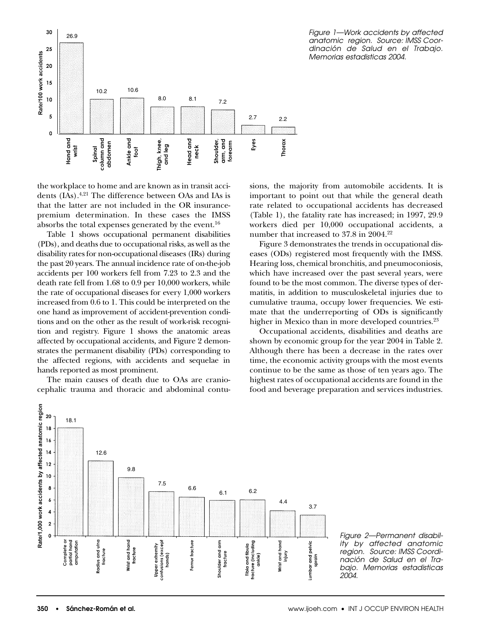

*Figure 1—Work accidents by affected anatomic region. Source: IMSS Coordinación de Salud en el Trabajo. Memorias estadisticas 2004.*

the workplace to home and are known as in transit accidents (IAs).<sup>4,21</sup> The difference between OAs and IAs is that the latter are not included in the OR insurancepremium determination. In these cases the IMSS absorbs the total expenses generated by the event.<sup>16</sup>

Table 1 shows occupational permanent disabilities (PDs), and deaths due to occupational risks, as well as the disability rates for non-occupational diseases (IRs) during the past 20 years. The annual incidence rate of on-the-job accidents per 100 workers fell from 7.23 to 2.3 and the death rate fell from 1.68 to 0.9 per 10,000 workers, while the rate of occupational diseases for every 1,000 workers increased from 0.6 to 1. This could be interpreted on the one hand as improvement of accident-prevention conditions and on the other as the result of work-risk recognition and registry. Figure 1 shows the anatomic areas affected by occupational accidents, and Figure 2 demonstrates the permanent disability (PDs) corresponding to the affected regions, with accidents and sequelae in hands reported as most prominent.

The main causes of death due to OAs are craniocephalic trauma and thoracic and abdominal contusions, the majority from automobile accidents. It is important to point out that while the general death rate related to occupational accidents has decreased (Table 1), the fatality rate has increased; in 1997, 29.9 workers died per 10,000 occupational accidents, a number that increased to 37.8 in 2004.<sup>22</sup>

Figure 3 demonstrates the trends in occupational diseases (ODs) registered most frequently with the IMSS. Hearing loss, chemical bronchitis, and pneumoconiosis, which have increased over the past several years, were found to be the most common. The diverse types of dermatitis, in addition to musculoskeletal injuries due to cumulative trauma, occupy lower frequencies. We estimate that the underreporting of ODs is significantly higher in Mexico than in more developed countries.<sup>23</sup>

Occupational accidents, disabilities and deaths are shown by economic group for the year 2004 in Table 2. Although there has been a decrease in the rates over time, the economic activity groups with the most events continue to be the same as those of ten years ago. The highest rates of occupational accidents are found in the food and beverage preparation and services industries.



*Figure 2—Permanent disability by affected anatomic region. Source: IMSS Coordinación de Salud en el Trabajo. Memorias estadisticas 2004.*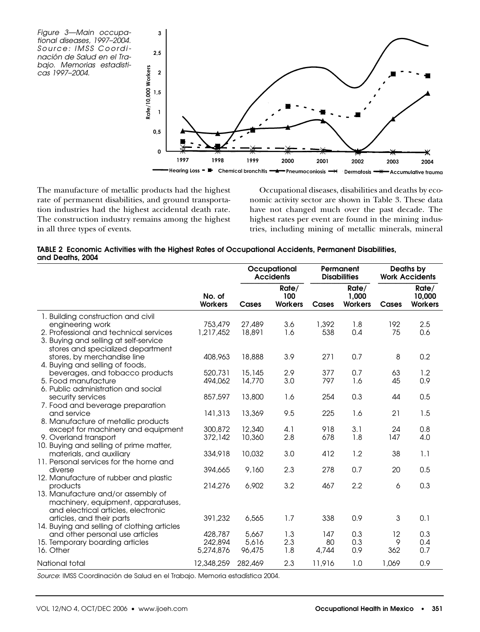*Figure 3—Main occupational diseases, 1997–2004. Source: IMSS Coordinación de Salud en el Trabajo. Memorias estadisticas 1997–2004.*



The manufacture of metallic products had the highest rate of permanent disabilities, and ground transportation industries had the highest accidental death rate. The construction industry remains among the highest in all three types of events.

Occupational diseases, disabilities and deaths by economic activity sector are shown in Table 3. These data have not changed much over the past decade. The highest rates per event are found in the mining industries, including mining of metallic minerals, mineral

|                  |  | TABLE 2 Economic Activities with the Highest Rates of Occupational Accidents, Permanent Disabilities, |  |  |
|------------------|--|-------------------------------------------------------------------------------------------------------|--|--|
| and Deaths, 2004 |  |                                                                                                       |  |  |

|                                             |                          | Occupational<br><b>Accidents</b> |                                | Permanent<br><b>Disabilities</b> |                                  | Deaths by<br><b>Work Accidents</b> |                                   |
|---------------------------------------------|--------------------------|----------------------------------|--------------------------------|----------------------------------|----------------------------------|------------------------------------|-----------------------------------|
|                                             | No. of<br><b>Workers</b> | Cases                            | Rate/<br>100<br><b>Workers</b> | Cases                            | Rate/<br>1,000<br><b>Workers</b> | Cases                              | Rate/<br>10,000<br><b>Workers</b> |
| 1. Building construction and civil          |                          |                                  |                                |                                  |                                  |                                    |                                   |
| engineering work                            | 753,479                  | 27,489                           | 3.6                            | 1,392                            | 1.8                              | 192                                | 2.5                               |
| 2. Professional and technical services      | 1,217,452                | 18,891                           | 1.6                            | 538                              | 0.4                              | 75                                 | 0.6                               |
| 3. Buying and selling at self-service       |                          |                                  |                                |                                  |                                  |                                    |                                   |
| stores and specialized department           |                          |                                  |                                |                                  |                                  |                                    |                                   |
| stores, by merchandise line                 | 408,963                  | 18,888                           | 3.9                            | 271                              | 0.7                              | 8                                  | 0.2                               |
| 4. Buying and selling of foods,             |                          |                                  |                                |                                  |                                  |                                    |                                   |
| beverages, and tobacco products             | 520,731                  | 15,145                           | 2.9                            | 377                              | 0.7                              | 63                                 | 1.2                               |
| 5. Food manufacture                         | 494,062                  | 14,770                           | 3.0                            | 797                              | 1.6                              | 45                                 | 0.9                               |
| 6. Public administration and social         |                          |                                  |                                |                                  |                                  |                                    |                                   |
| security services                           | 857,597                  | 13,800                           | 1.6                            | 254                              | 0.3                              | 44                                 | 0.5                               |
| 7. Food and beverage preparation            |                          |                                  |                                |                                  |                                  |                                    |                                   |
| and service                                 | 141,313                  | 13,369                           | 9.5                            | 225                              | 1.6                              | 21                                 | 1.5                               |
| 8. Manufacture of metallic products         |                          |                                  |                                |                                  |                                  |                                    |                                   |
| except for machinery and equipment          | 300,872                  | 12,340                           | 4.1                            | 918                              | 3.1                              | 24                                 | 0.8                               |
| 9. Overland transport                       | 372,142                  | 10,360                           | 2.8                            | 678                              | 1.8                              | 147                                | 4.0                               |
| 10. Buying and selling of prime matter,     |                          |                                  |                                |                                  |                                  |                                    |                                   |
| materials, and auxiliary                    | 334,918                  | 10,032                           | 3.0                            | 412                              | 1.2                              | 38                                 | 1.1                               |
| 11. Personal services for the home and      |                          |                                  |                                |                                  |                                  |                                    |                                   |
| diverse                                     | 394,665                  | 9,160                            | 2.3                            | 278                              | 0.7                              | 20                                 | 0.5                               |
| 12. Manufacture of rubber and plastic       |                          |                                  |                                |                                  |                                  |                                    |                                   |
| products                                    | 214,276                  | 6,902                            | 3.2                            | 467                              | 2.2                              | 6                                  | 0.3                               |
| 13. Manufacture and/or assembly of          |                          |                                  |                                |                                  |                                  |                                    |                                   |
| machinery, equipment, apparatuses,          |                          |                                  |                                |                                  |                                  |                                    |                                   |
| and electrical articles, electronic         |                          |                                  |                                |                                  |                                  |                                    |                                   |
| articles, and their parts                   | 391,232                  | 6,565                            | 1.7                            | 338                              | 0.9                              | 3                                  | 0.1                               |
| 14. Buying and selling of clothing articles |                          |                                  |                                |                                  |                                  |                                    |                                   |
| and other personal use articles             | 428,787                  | 5,667                            | 1.3                            | 147                              | 0.3                              | 12                                 | 0.3                               |
| 15. Temporary boarding articles             | 242,894                  | 5,616                            | 2.3                            | 80                               | 0.3                              | 9                                  | 0.4                               |
| 16. Other                                   | 5,274,876                | 96,475                           | 1.8                            | 4,744                            | 0.9                              | 362                                | 0.7                               |
| National total                              | 12,348,259               | 282,469                          | 2.3                            | 11,916                           | 1.0                              | 1,069                              | 0.9                               |

*Source*: IMSS Coordinación de Salud en el Trabajo. Memoria estadística 2004.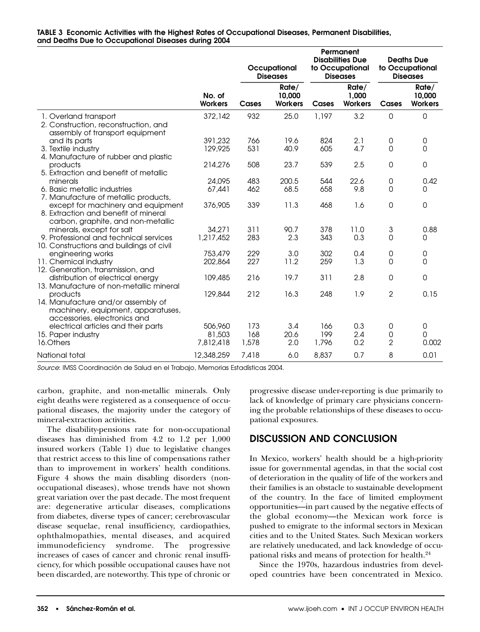|                                                                                                                      |                                | Occupational<br><b>Diseases</b> |                                   | Permanent<br><b>Disabilities Due</b><br>to Occupational<br><b>Diseases</b> |                                  |                          | <b>Deaths Due</b><br>to Occupational<br><b>Diseases</b> |
|----------------------------------------------------------------------------------------------------------------------|--------------------------------|---------------------------------|-----------------------------------|----------------------------------------------------------------------------|----------------------------------|--------------------------|---------------------------------------------------------|
|                                                                                                                      | No. of<br><b>Workers</b>       | Cases                           | Rate/<br>10,000<br><b>Workers</b> | Cases                                                                      | Rate/<br>1,000<br><b>Workers</b> | Cases                    | Rate/<br>10,000<br><b>Workers</b>                       |
| 1. Overland transport<br>2. Construction, reconstruction, and<br>assembly of transport equipment                     | 372,142                        | 932                             | 25.0                              | 1,197                                                                      | 3.2                              | 0                        | $\mathbf 0$                                             |
| and its parts<br>3. Textile industry<br>4. Manufacture of rubber and plastic                                         | 391,232<br>129,925             | 766<br>531                      | 19.6<br>40.9                      | 824<br>605                                                                 | 2.1<br>4.7                       | 0<br>0                   | 0<br>0                                                  |
| products<br>5. Extraction and benefit of metallic                                                                    | 214,276                        | 508                             | 23.7                              | 539                                                                        | 2.5                              | 0                        | $\mathbf 0$                                             |
| minerals<br>6. Basic metallic industries<br>7. Manufacture of metallic products,                                     | 24,095<br>67,441               | 483<br>462                      | 200.5<br>68.5                     | 544<br>658                                                                 | 22.6<br>9.8                      | 0<br>0                   | 0.42<br>0                                               |
| except for machinery and equipment<br>8. Extraction and benefit of mineral<br>carbon, graphite, and non-metallic     | 376,905                        | 339                             | 11.3                              | 468                                                                        | 1.6                              | 0                        | $\mathbf 0$                                             |
| minerals, except for salt<br>9. Professional and technical services<br>10. Constructions and buildings of civil      | 34,271<br>1,217,452            | 311<br>283                      | 90.7<br>2.3                       | 378<br>343                                                                 | 11.0<br>0.3                      | 3<br>0                   | 0.88<br>0                                               |
| engineering works<br>11. Chemical industry<br>12. Generation, transmission, and                                      | 753,479<br>202,864             | 229<br>227                      | 3.0<br>11.2                       | 302<br>259                                                                 | 0.4<br>1.3                       | 0<br>0                   | $\mathsf{O}\xspace$<br>$\mathbf 0$                      |
| distribution of electrical energy<br>13. Manufacture of non-metallic mineral                                         | 109,485                        | 216                             | 19.7                              | 311                                                                        | 2.8                              | 0                        | $\mathbf 0$                                             |
| products<br>14. Manufacture and/or assembly of<br>machinery, equipment, apparatuses,<br>accessories, electronics and | 129,844                        | 212                             | 16.3                              | 248                                                                        | 1.9                              | $\overline{2}$           | 0.15                                                    |
| electrical articles and their parts<br>15. Paper industry<br>16.Others                                               | 506,960<br>81,503<br>7,812,418 | 173<br>168<br>1,578             | 3.4<br>20.6<br>2.0                | 166<br>199<br>1,796                                                        | 0.3<br>2.4<br>0.2                | 0<br>0<br>$\overline{2}$ | 0<br>0<br>0.002                                         |
| National total                                                                                                       | 12,348,259                     | 7,418                           | 6.0                               | 8,837                                                                      | 0.7                              | 8                        | 0.01                                                    |

*Source*: IMSS Coordinación de Salud en el Trabajo, Memorias Estadísticas 2004.

carbon, graphite, and non-metallic minerals. Only eight deaths were registered as a consequence of occupational diseases, the majority under the category of mineral-extraction activities.

The disability-pensions rate for non-occupational diseases has diminished from 4.2 to 1.2 per 1,000 insured workers (Table 1) due to legislative changes that restrict access to this line of compensations rather than to improvement in workers' health conditions. Figure 4 shows the main disabling disorders (nonoccupational diseases), whose trends have not shown great variation over the past decade. The most frequent are: degenerative articular diseases, complications from diabetes, diverse types of cancer; cerebrovascular disease sequelae, renal insufficiency, cardiopathies, ophthalmopathies, mental diseases, and acquired immunodeficiency syndrome. The progressive increases of cases of cancer and chronic renal insufficiency, for which possible occupational causes have not been discarded, are noteworthy. This type of chronic or progressive disease under-reporting is due primarily to lack of knowledge of primary care physicians concerning the probable relationships of these diseases to occupational exposures.

# **DISCUSSION AND CONCLUSION**

In Mexico, workers' health should be a high-priority issue for governmental agendas, in that the social cost of deterioration in the quality of life of the workers and their families is an obstacle to sustainable development of the country. In the face of limited employment opportunities—in part caused by the negative effects of the global economy—the Mexican work force is pushed to emigrate to the informal sectors in Mexican cities and to the United States. Such Mexican workers are relatively uneducated, and lack knowledge of occupational risks and means of protection for health.<sup>24</sup>

Since the 1970s, hazardous industries from developed countries have been concentrated in Mexico.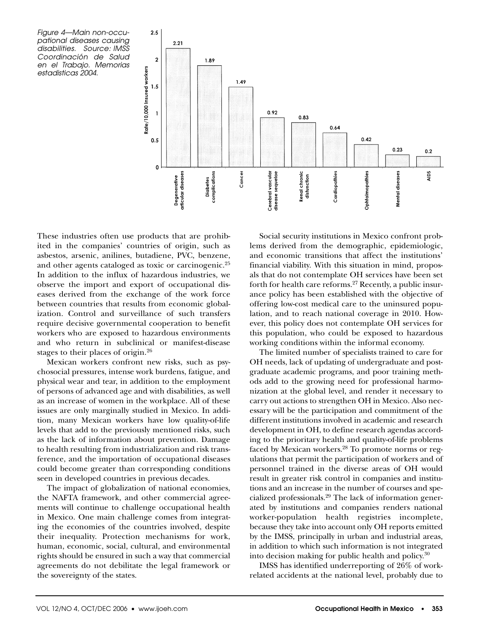



These industries often use products that are prohibited in the companies' countries of origin, such as asbestos, arsenic, anilines, butadiene, PVC, benzene, and other agents cataloged as toxic or carcinogenic.25 In addition to the influx of hazardous industries, we observe the import and export of occupational diseases derived from the exchange of the work force between countries that results from economic globalization. Control and surveillance of such transfers require decisive governmental cooperation to benefit workers who are exposed to hazardous environments and who return in subclinical or manifest-disease stages to their places of origin.<sup>26</sup>

Mexican workers confront new risks, such as psychosocial pressures, intense work burdens, fatigue, and physical wear and tear, in addition to the employment of persons of advanced age and with disabilities, as well as an increase of women in the workplace. All of these issues are only marginally studied in Mexico. In addition, many Mexican workers have low quality-of-life levels that add to the previously mentioned risks, such as the lack of information about prevention. Damage to health resulting from industrialization and risk transference, and the importation of occupational diseases could become greater than corresponding conditions seen in developed countries in previous decades.

The impact of globalization of national economies, the NAFTA framework, and other commercial agreements will continue to challenge occupational health in Mexico. One main challenge comes from integrating the economies of the countries involved, despite their inequality. Protection mechanisms for work, human, economic, social, cultural, and environmental rights should be ensured in such a way that commercial agreements do not debilitate the legal framework or the sovereignty of the states.

Social security institutions in Mexico confront problems derived from the demographic, epidemiologic, and economic transitions that affect the institutions' financial viability. With this situation in mind, proposals that do not contemplate OH services have been set forth for health care reforms.<sup>27</sup> Recently, a public insurance policy has been established with the objective of offering low-cost medical care to the uninsured population, and to reach national coverage in 2010. However, this policy does not contemplate OH services for this population, who could be exposed to hazardous working conditions within the informal economy.

The limited number of specialists trained to care for OH needs, lack of updating of undergraduate and postgraduate academic programs, and poor training methods add to the growing need for professional harmonization at the global level, and render it necessary to carry out actions to strengthen OH in Mexico. Also necessary will be the participation and commitment of the different institutions involved in academic and research development in OH, to define research agendas according to the prioritary health and quality-of-life problems faced by Mexican workers.<sup>28</sup> To promote norms or regulations that permit the participation of workers and of personnel trained in the diverse areas of OH would result in greater risk control in companies and institutions and an increase in the number of courses and specialized professionals.29 The lack of information generated by institutions and companies renders national worker-population health registries incomplete, because they take into account only OH reports emitted by the IMSS, principally in urban and industrial areas, in addition to which such information is not integrated into decision making for public health and policy.30

IMSS has identified underreporting of 26% of workrelated accidents at the national level, probably due to